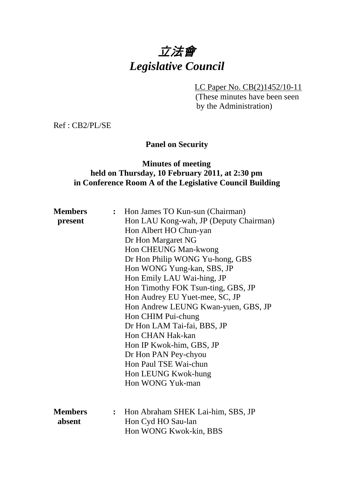# 立法會 *Legislative Council*

LC Paper No. CB(2)1452/10-11 (These minutes have been seen by the Administration)

Ref : CB2/PL/SE

# **Panel on Security**

## **Minutes of meeting held on Thursday, 10 February 2011, at 2:30 pm in Conference Room A of the Legislative Council Building**

| <b>Members</b> | $\ddot{\cdot}$ | Hon James TO Kun-sun (Chairman)        |
|----------------|----------------|----------------------------------------|
| present        |                | Hon LAU Kong-wah, JP (Deputy Chairman) |
|                |                | Hon Albert HO Chun-yan                 |
|                |                | Dr Hon Margaret NG                     |
|                |                | Hon CHEUNG Man-kwong                   |
|                |                | Dr Hon Philip WONG Yu-hong, GBS        |
|                |                | Hon WONG Yung-kan, SBS, JP             |
|                |                | Hon Emily LAU Wai-hing, JP             |
|                |                | Hon Timothy FOK Tsun-ting, GBS, JP     |
|                |                | Hon Audrey EU Yuet-mee, SC, JP         |
|                |                | Hon Andrew LEUNG Kwan-yuen, GBS, JP    |
|                |                | Hon CHIM Pui-chung                     |
|                |                | Dr Hon LAM Tai-fai, BBS, JP            |
|                |                | Hon CHAN Hak-kan                       |
|                |                | Hon IP Kwok-him, GBS, JP               |
|                |                | Dr Hon PAN Pey-chyou                   |
|                |                | Hon Paul TSE Wai-chun                  |
|                |                | Hon LEUNG Kwok-hung                    |
|                |                | Hon WONG Yuk-man                       |
|                |                |                                        |
|                |                |                                        |
| <b>Members</b> |                | Hon Abraham SHEK Lai-him, SBS, JP      |
| absent         |                | Hon Cyd HO Sau-lan                     |
|                |                | Hon WONG Kwok-kin, BBS                 |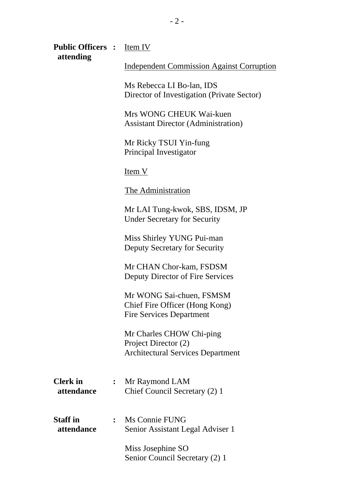| <b>Public Officers :</b> Item IV<br>attending |                |                                                                                               |
|-----------------------------------------------|----------------|-----------------------------------------------------------------------------------------------|
|                                               |                | <b>Independent Commission Against Corruption</b>                                              |
|                                               |                | Ms Rebecca LI Bo-lan, IDS<br>Director of Investigation (Private Sector)                       |
|                                               |                | Mrs WONG CHEUK Wai-kuen<br><b>Assistant Director (Administration)</b>                         |
|                                               |                | Mr Ricky TSUI Yin-fung<br>Principal Investigator                                              |
|                                               |                | <u>Item V</u>                                                                                 |
|                                               |                | The Administration                                                                            |
|                                               |                | Mr LAI Tung-kwok, SBS, IDSM, JP<br><b>Under Secretary for Security</b>                        |
|                                               |                | Miss Shirley YUNG Pui-man<br>Deputy Secretary for Security                                    |
|                                               |                | Mr CHAN Chor-kam, FSDSM<br>Deputy Director of Fire Services                                   |
|                                               |                | Mr WONG Sai-chuen, FSMSM<br>Chief Fire Officer (Hong Kong)<br><b>Fire Services Department</b> |
|                                               |                | Mr Charles CHOW Chi-ping<br>Project Director (2)<br><b>Architectural Services Department</b>  |
| <b>Clerk</b> in<br>attendance                 |                | Mr Raymond LAM<br>Chief Council Secretary (2) 1                                               |
| <b>Staff</b> in<br>attendance                 | $\ddot{\cdot}$ | Ms Connie FUNG<br>Senior Assistant Legal Adviser 1                                            |
|                                               |                | Miss Josephine SO<br>Senior Council Secretary (2) 1                                           |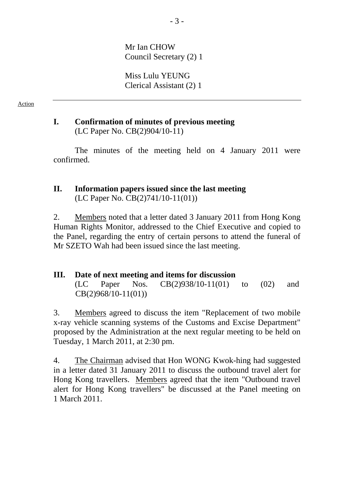Mr Ian CHOW Council Secretary (2) 1

Miss Lulu YEUNG Clerical Assistant (2) 1

Action

#### **I. Confirmation of minutes of previous meeting**  (LC Paper No. CB(2)904/10-11)

 The minutes of the meeting held on 4 January 2011 were confirmed.

#### **II. Information papers issued since the last meeting**  (LC Paper No. CB(2)741/10-11(01))

2. Members noted that a letter dated 3 January 2011 from Hong Kong Human Rights Monitor, addressed to the Chief Executive and copied to the Panel, regarding the entry of certain persons to attend the funeral of Mr SZETO Wah had been issued since the last meeting.

# **III. Date of next meeting and items for discussion**

 (LC Paper Nos. CB(2)938/10-11(01) to (02) and CB(2)968/10-11(01))

3. Members agreed to discuss the item "Replacement of two mobile x-ray vehicle scanning systems of the Customs and Excise Department" proposed by the Administration at the next regular meeting to be held on Tuesday, 1 March 2011, at 2:30 pm.

4. The Chairman advised that Hon WONG Kwok-hing had suggested in a letter dated 31 January 2011 to discuss the outbound travel alert for Hong Kong travellers. Members agreed that the item "Outbound travel alert for Hong Kong travellers" be discussed at the Panel meeting on 1 March 2011.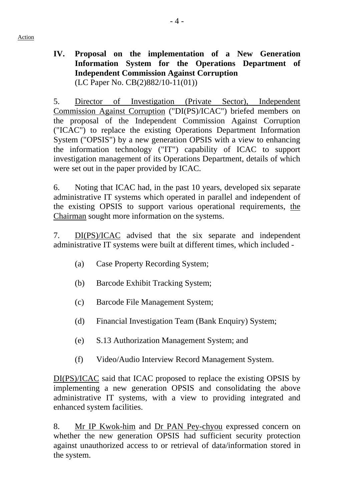Action

# **IV. Proposal on the implementation of a New Generation Information System for the Operations Department of Independent Commission Against Corruption**  (LC Paper No. CB(2)882/10-11(01))

5. Director of Investigation (Private Sector), Independent Commission Against Corruption ("DI(PS)/ICAC") briefed members on the proposal of the Independent Commission Against Corruption ("ICAC") to replace the existing Operations Department Information System ("OPSIS") by a new generation OPSIS with a view to enhancing the information technology ("IT") capability of ICAC to support investigation management of its Operations Department, details of which were set out in the paper provided by ICAC.

6. Noting that ICAC had, in the past 10 years, developed six separate administrative IT systems which operated in parallel and independent of the existing OPSIS to support various operational requirements, the Chairman sought more information on the systems.

7. DI(PS)/ICAC advised that the six separate and independent administrative IT systems were built at different times, which included -

- (a) Case Property Recording System;
- (b) Barcode Exhibit Tracking System;
- (c) Barcode File Management System;
- (d) Financial Investigation Team (Bank Enquiry) System;
- (e) S.13 Authorization Management System; and
- (f) Video/Audio Interview Record Management System.

DI(PS)/ICAC said that ICAC proposed to replace the existing OPSIS by implementing a new generation OPSIS and consolidating the above administrative IT systems, with a view to providing integrated and enhanced system facilities.

8. Mr IP Kwok-him and Dr PAN Pey-chyou expressed concern on whether the new generation OPSIS had sufficient security protection against unauthorized access to or retrieval of data/information stored in the system.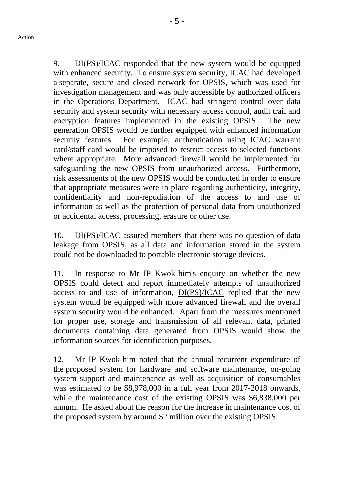- 5 -

9. DI(PS)/ICAC responded that the new system would be equipped with enhanced security. To ensure system security, ICAC had developed a separate, secure and closed network for OPSIS, which was used for investigation management and was only accessible by authorized officers in the Operations Department. ICAC had stringent control over data security and system security with necessary access control, audit trail and encryption features implemented in the existing OPSIS. The new generation OPSIS would be further equipped with enhanced information security features. For example, authentication using ICAC warrant card/staff card would be imposed to restrict access to selected functions where appropriate. More advanced firewall would be implemented for safeguarding the new OPSIS from unauthorized access. Furthermore, risk assessments of the new OPSIS would be conducted in order to ensure that appropriate measures were in place regarding authenticity, integrity, confidentiality and non-repudiation of the access to and use of information as well as the protection of personal data from unauthorized or accidental access, processing, erasure or other use.

10. DI(PS)/ICAC assured members that there was no question of data leakage from OPSIS, as all data and information stored in the system could not be downloaded to portable electronic storage devices.

11. In response to Mr IP Kwok-him's enquiry on whether the new OPSIS could detect and report immediately attempts of unauthorized access to and use of information, DI(PS)/ICAC replied that the new system would be equipped with more advanced firewall and the overall system security would be enhanced. Apart from the measures mentioned for proper use, storage and transmission of all relevant data, printed documents containing data generated from OPSIS would show the information sources for identification purposes.

12. Mr IP Kwok-him noted that the annual recurrent expenditure of the proposed system for hardware and software maintenance, on-going system support and maintenance as well as acquisition of consumables was estimated to be \$8,978,000 in a full year from 2017-2018 onwards, while the maintenance cost of the existing OPSIS was \$6,838,000 per annum. He asked about the reason for the increase in maintenance cost of the proposed system by around \$2 million over the existing OPSIS.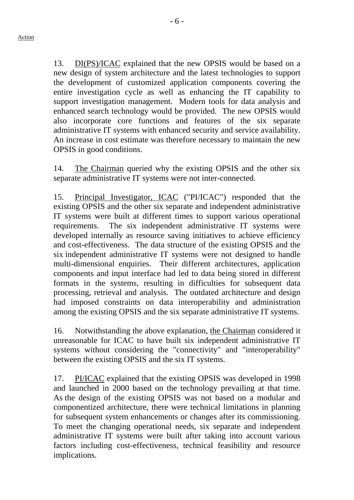13. DI(PS)/ICAC explained that the new OPSIS would be based on a new design of system architecture and the latest technologies to support the development of customized application components covering the entire investigation cycle as well as enhancing the IT capability to support investigation management. Modern tools for data analysis and enhanced search technology would be provided. The new OPSIS would also incorporate core functions and features of the six separate administrative IT systems with enhanced security and service availability. An increase in cost estimate was therefore necessary to maintain the new OPSIS in good conditions.

14. The Chairman queried why the existing OPSIS and the other six separate administrative IT systems were not inter-connected.

15. Principal Investigator, ICAC ("PI/ICAC") responded that the existing OPSIS and the other six separate and independent administrative IT systems were built at different times to support various operational requirements. The six independent administrative IT systems were developed internally as resource saving initiatives to achieve efficiency and cost-effectiveness. The data structure of the existing OPSIS and the six independent administrative IT systems were not designed to handle multi-dimensional enquiries. Their different architectures, application components and input interface had led to data being stored in different formats in the systems, resulting in difficulties for subsequent data processing, retrieval and analysis. The outdated architecture and design had imposed constraints on data interoperability and administration among the existing OPSIS and the six separate administrative IT systems.

16. Notwithstanding the above explanation, the Chairman considered it unreasonable for ICAC to have built six independent administrative IT systems without considering the "connectivity" and "interoperability" between the existing OPSIS and the six IT systems.

17. PI/ICAC explained that the existing OPSIS was developed in 1998 and launched in 2000 based on the technology prevailing at that time. As the design of the existing OPSIS was not based on a modular and componentized architecture, there were technical limitations in planning for subsequent system enhancements or changes after its commissioning. To meet the changing operational needs, six separate and independent administrative IT systems were built after taking into account various factors including cost-effectiveness, technical feasibility and resource implications.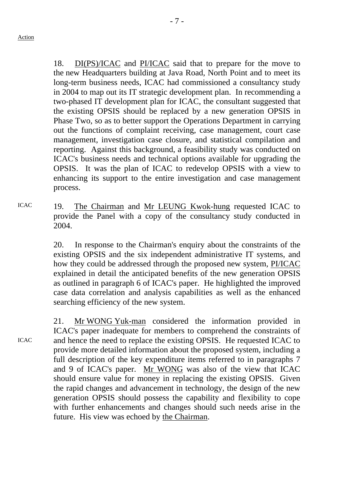18. DI(PS)/ICAC and PI/ICAC said that to prepare for the move to the new Headquarters building at Java Road, North Point and to meet its long-term business needs, ICAC had commissioned a consultancy study in 2004 to map out its IT strategic development plan. In recommending a two-phased IT development plan for ICAC, the consultant suggested that the existing OPSIS should be replaced by a new generation OPSIS in Phase Two, so as to better support the Operations Department in carrying out the functions of complaint receiving, case management, court case management, investigation case closure, and statistical compilation and reporting. Against this background, a feasibility study was conducted on ICAC's business needs and technical options available for upgrading the OPSIS. It was the plan of ICAC to redevelop OPSIS with a view to enhancing its support to the entire investigation and case management process.

ICAC 19. The Chairman and Mr LEUNG Kwok-hung requested ICAC to provide the Panel with a copy of the consultancy study conducted in 2004.

> 20. In response to the Chairman's enquiry about the constraints of the existing OPSIS and the six independent administrative IT systems, and how they could be addressed through the proposed new system, PI/ICAC explained in detail the anticipated benefits of the new generation OPSIS as outlined in paragraph 6 of ICAC's paper. He highlighted the improved case data correlation and analysis capabilities as well as the enhanced searching efficiency of the new system.

21. Mr WONG Yuk-man considered the information provided in ICAC's paper inadequate for members to comprehend the constraints of and hence the need to replace the existing OPSIS. He requested ICAC to provide more detailed information about the proposed system, including a full description of the key expenditure items referred to in paragraphs 7 and 9 of ICAC's paper. Mr WONG was also of the view that ICAC should ensure value for money in replacing the existing OPSIS. Given the rapid changes and advancement in technology, the design of the new generation OPSIS should possess the capability and flexibility to cope with further enhancements and changes should such needs arise in the future. His view was echoed by the Chairman.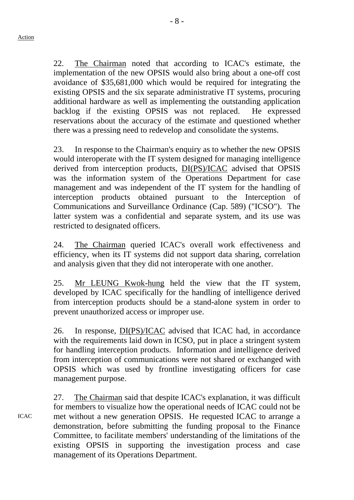ICAC

22. The Chairman noted that according to ICAC's estimate, the implementation of the new OPSIS would also bring about a one-off cost avoidance of \$35,681,000 which would be required for integrating the existing OPSIS and the six separate administrative IT systems, procuring additional hardware as well as implementing the outstanding application backlog if the existing OPSIS was not replaced. He expressed reservations about the accuracy of the estimate and questioned whether there was a pressing need to redevelop and consolidate the systems.

23. In response to the Chairman's enquiry as to whether the new OPSIS would interoperate with the IT system designed for managing intelligence derived from interception products, DI(PS)/ICAC advised that OPSIS was the information system of the Operations Department for case management and was independent of the IT system for the handling of interception products obtained pursuant to the Interception of Communications and Surveillance Ordinance (Cap. 589) ("ICSO"). The latter system was a confidential and separate system, and its use was restricted to designated officers.

24. The Chairman queried ICAC's overall work effectiveness and efficiency, when its IT systems did not support data sharing, correlation and analysis given that they did not interoperate with one another.

25. Mr LEUNG Kwok-hung held the view that the IT system, developed by ICAC specifically for the handling of intelligence derived from interception products should be a stand-alone system in order to prevent unauthorized access or improper use.

26. In response, DI(PS)/ICAC advised that ICAC had, in accordance with the requirements laid down in ICSO, put in place a stringent system for handling interception products. Information and intelligence derived from interception of communications were not shared or exchanged with OPSIS which was used by frontline investigating officers for case management purpose.

27. The Chairman said that despite ICAC's explanation, it was difficult for members to visualize how the operational needs of ICAC could not be met without a new generation OPSIS. He requested ICAC to arrange a demonstration, before submitting the funding proposal to the Finance Committee, to facilitate members' understanding of the limitations of the existing OPSIS in supporting the investigation process and case management of its Operations Department.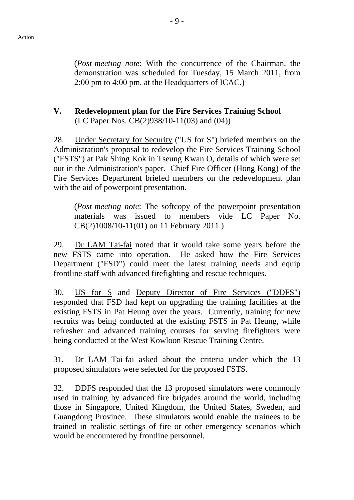(*Post-meeting note*: With the concurrence of the Chairman, the demonstration was scheduled for Tuesday, 15 March 2011, from 2:00 pm to 4:00 pm, at the Headquarters of ICAC.)

## **V. Redevelopment plan for the Fire Services Training School**  (LC Paper Nos. CB(2)938/10-11(03) and (04))

28. Under Secretary for Security ("US for S") briefed members on the Administration's proposal to redevelop the Fire Services Training School ("FSTS") at Pak Shing Kok in Tseung Kwan O, details of which were set out in the Administration's paper. Chief Fire Officer (Hong Kong) of the Fire Services Department briefed members on the redevelopment plan with the aid of powerpoint presentation.

(*Post-meeting note*: The softcopy of the powerpoint presentation materials was issued to members vide LC Paper No. CB(2)1008/10-11(01) on 11 February 2011.)

29. Dr LAM Tai-fai noted that it would take some years before the new FSTS came into operation. He asked how the Fire Services Department ("FSD") could meet the latest training needs and equip frontline staff with advanced firefighting and rescue techniques.

30. US for S and Deputy Director of Fire Services ("DDFS") responded that FSD had kept on upgrading the training facilities at the existing FSTS in Pat Heung over the years. Currently, training for new recruits was being conducted at the existing FSTS in Pat Heung, while refresher and advanced training courses for serving firefighters were being conducted at the West Kowloon Rescue Training Centre.

31. Dr LAM Tai-fai asked about the criteria under which the 13 proposed simulators were selected for the proposed FSTS.

32. DDFS responded that the 13 proposed simulators were commonly used in training by advanced fire brigades around the world, including those in Singapore, United Kingdom, the United States, Sweden, and Guangdong Province. These simulators would enable the trainees to be trained in realistic settings of fire or other emergency scenarios which would be encountered by frontline personnel.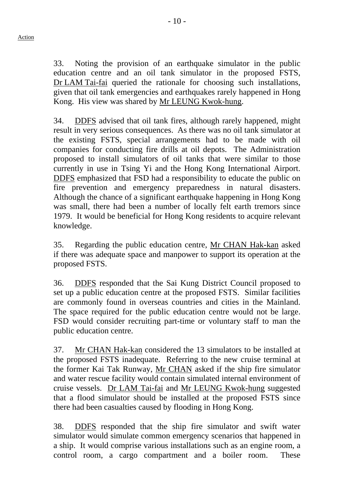33. Noting the provision of an earthquake simulator in the public education centre and an oil tank simulator in the proposed FSTS, Dr LAM Tai-fai queried the rationale for choosing such installations, given that oil tank emergencies and earthquakes rarely happened in Hong Kong. His view was shared by Mr LEUNG Kwok-hung.

34. DDFS advised that oil tank fires, although rarely happened, might result in very serious consequences. As there was no oil tank simulator at the existing FSTS, special arrangements had to be made with oil companies for conducting fire drills at oil depots. The Administration proposed to install simulators of oil tanks that were similar to those currently in use in Tsing Yi and the Hong Kong International Airport. DDFS emphasized that FSD had a responsibility to educate the public on fire prevention and emergency preparedness in natural disasters. Although the chance of a significant earthquake happening in Hong Kong was small, there had been a number of locally felt earth tremors since 1979. It would be beneficial for Hong Kong residents to acquire relevant knowledge.

35. Regarding the public education centre, Mr CHAN Hak-kan asked if there was adequate space and manpower to support its operation at the proposed FSTS.

36. DDFS responded that the Sai Kung District Council proposed to set up a public education centre at the proposed FSTS. Similar facilities are commonly found in overseas countries and cities in the Mainland. The space required for the public education centre would not be large. FSD would consider recruiting part-time or voluntary staff to man the public education centre.

37. Mr CHAN Hak-kan considered the 13 simulators to be installed at the proposed FSTS inadequate. Referring to the new cruise terminal at the former Kai Tak Runway, Mr CHAN asked if the ship fire simulator and water rescue facility would contain simulated internal environment of cruise vessels. Dr LAM Tai-fai and Mr LEUNG Kwok-hung suggested that a flood simulator should be installed at the proposed FSTS since there had been casualties caused by flooding in Hong Kong.

38. DDFS responded that the ship fire simulator and swift water simulator would simulate common emergency scenarios that happened in a ship. It would comprise various installations such as an engine room, a control room, a cargo compartment and a boiler room. These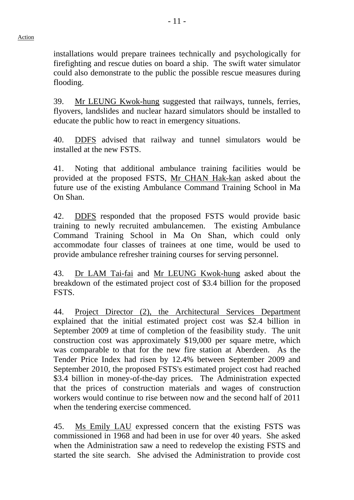installations would prepare trainees technically and psychologically for firefighting and rescue duties on board a ship. The swift water simulator could also demonstrate to the public the possible rescue measures during flooding.

39. Mr LEUNG Kwok-hung suggested that railways, tunnels, ferries, flyovers, landslides and nuclear hazard simulators should be installed to educate the public how to react in emergency situations.

40. DDFS advised that railway and tunnel simulators would be installed at the new FSTS.

41. Noting that additional ambulance training facilities would be provided at the proposed FSTS, Mr CHAN Hak-kan asked about the future use of the existing Ambulance Command Training School in Ma On Shan.

42. DDFS responded that the proposed FSTS would provide basic training to newly recruited ambulancemen. The existing Ambulance Command Training School in Ma On Shan, which could only accommodate four classes of trainees at one time, would be used to provide ambulance refresher training courses for serving personnel.

43. Dr LAM Tai-fai and Mr LEUNG Kwok-hung asked about the breakdown of the estimated project cost of \$3.4 billion for the proposed FSTS.

44. Project Director (2), the Architectural Services Department explained that the initial estimated project cost was \$2.4 billion in September 2009 at time of completion of the feasibility study. The unit construction cost was approximately \$19,000 per square metre, which was comparable to that for the new fire station at Aberdeen. As the Tender Price Index had risen by 12.4% between September 2009 and September 2010, the proposed FSTS's estimated project cost had reached \$3.4 billion in money-of-the-day prices. The Administration expected that the prices of construction materials and wages of construction workers would continue to rise between now and the second half of 2011 when the tendering exercise commenced.

45. Ms Emily LAU expressed concern that the existing FSTS was commissioned in 1968 and had been in use for over 40 years. She asked when the Administration saw a need to redevelop the existing FSTS and started the site search. She advised the Administration to provide cost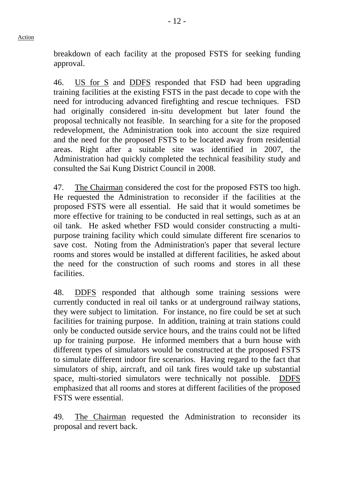breakdown of each facility at the proposed FSTS for seeking funding approval.

46. US for S and DDFS responded that FSD had been upgrading training facilities at the existing FSTS in the past decade to cope with the need for introducing advanced firefighting and rescue techniques. FSD had originally considered in-situ development but later found the proposal technically not feasible. In searching for a site for the proposed redevelopment, the Administration took into account the size required and the need for the proposed FSTS to be located away from residential areas. Right after a suitable site was identified in 2007, the Administration had quickly completed the technical feasibility study and consulted the Sai Kung District Council in 2008.

47. The Chairman considered the cost for the proposed FSTS too high. He requested the Administration to reconsider if the facilities at the proposed FSTS were all essential. He said that it would sometimes be more effective for training to be conducted in real settings, such as at an oil tank. He asked whether FSD would consider constructing a multipurpose training facility which could simulate different fire scenarios to save cost. Noting from the Administration's paper that several lecture rooms and stores would be installed at different facilities, he asked about the need for the construction of such rooms and stores in all these facilities.

48. DDFS responded that although some training sessions were currently conducted in real oil tanks or at underground railway stations, they were subject to limitation. For instance, no fire could be set at such facilities for training purpose. In addition, training at train stations could only be conducted outside service hours, and the trains could not be lifted up for training purpose. He informed members that a burn house with different types of simulators would be constructed at the proposed FSTS to simulate different indoor fire scenarios. Having regard to the fact that simulators of ship, aircraft, and oil tank fires would take up substantial space, multi-storied simulators were technically not possible. DDFS emphasized that all rooms and stores at different facilities of the proposed FSTS were essential.

49. The Chairman requested the Administration to reconsider its proposal and revert back.